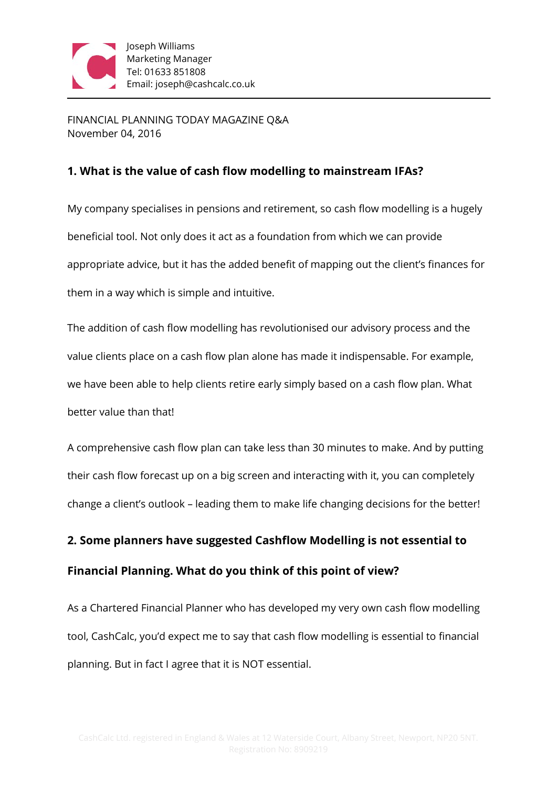

FINANCIAL PLANNING TODAY MAGAZINE Q&A November 04, 2016

### **1. What is the value of cash flow modelling to mainstream IFAs?**

My company specialises in pensions and retirement, so cash flow modelling is a hugely beneficial tool. Not only does it act as a foundation from which we can provide appropriate advice, but it has the added benefit of mapping out the client's finances for them in a way which is simple and intuitive.

The addition of cash flow modelling has revolutionised our advisory process and the value clients place on a cash flow plan alone has made it indispensable. For example, we have been able to help clients retire early simply based on a cash flow plan. What better value than that!

A comprehensive cash flow plan can take less than 30 minutes to make. And by putting their cash flow forecast up on a big screen and interacting with it, you can completely change a client's outlook – leading them to make life changing decisions for the better!

# **2. Some planners have suggested Cashflow Modelling is not essential to Financial Planning. What do you think of this point of view?**

As a Chartered Financial Planner who has developed my very own cash flow modelling tool, CashCalc, you'd expect me to say that cash flow modelling is essential to financial planning. But in fact I agree that it is NOT essential.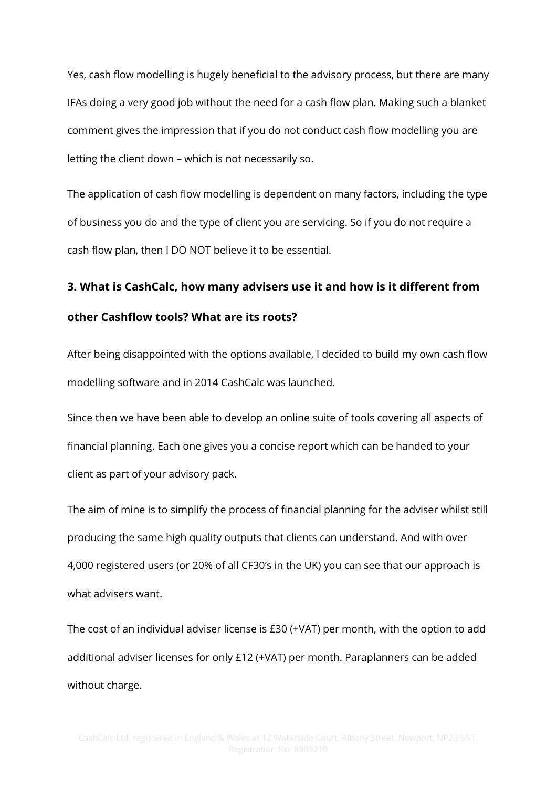Yes, cash flow modelling is hugely beneficial to the advisory process, but there are many IFAs doing a very good job without the need for a cash flow plan. Making such a blanket comment gives the impression that if you do not conduct cash flow modelling you are letting the client down – which is not necessarily so.

The application of cash flow modelling is dependent on many factors, including the type of business you do and the type of client you are servicing. So if you do not require a cash flow plan, then I DO NOT believe it to be essential.

## **3. What is CashCalc, how many advisers use it and how is it different from other Cashflow tools? What are its roots?**

After being disappointed with the options available, I decided to build my own cash flow modelling software and in 2014 CashCalc was launched.

Since then we have been able to develop an online suite of tools covering all aspects of financial planning. Each one gives you a concise report which can be handed to your client as part of your advisory pack.

The aim of mine is to simplify the process of financial planning for the adviser whilst still producing the same high quality outputs that clients can understand. And with over 4,000 registered users (or 20% of all CF30's in the UK) you can see that our approach is what advisers want.

The cost of an individual adviser license is £30 (+VAT) per month, with the option to add additional adviser licenses for only £12 (+VAT) per month. Paraplanners can be added without charge.